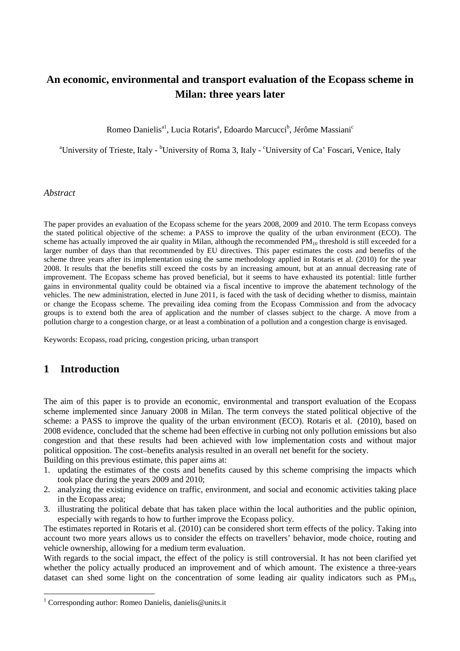## **An economic, environmental and transport evaluation of the Ecopass scheme in Milan: three years later**

Romeo Danielis<sup>a1</sup>, Lucia Rotaris<sup>a</sup>, Edoardo Marcucci<sup>b</sup>, Jérôme Massiani<sup>c</sup>

<sup>a</sup>University of Trieste, Italy - <sup>b</sup>University of Roma 3, Italy - <sup>c</sup>University of Ca' Foscari, Venice, Italy

#### *Abstract*

The paper provides an evaluation of the Ecopass scheme for the years 2008, 2009 and 2010. The term Ecopass conveys the stated political objective of the scheme: a PASS to improve the quality of the urban environment (ECO). The scheme has actually improved the air quality in Milan, although the recommended  $PM_{10}$  threshold is still exceeded for a larger number of days than that recommended by EU directives. This paper estimates the costs and benefits of the scheme three years after its implementation using the same methodology applied in Rotaris et al. (2010) for the year 2008. It results that the benefits still exceed the costs by an increasing amount, but at an annual decreasing rate of improvement. The Ecopass scheme has proved beneficial, but it seems to have exhausted its potential: little further gains in environmental quality could be obtained via a fiscal incentive to improve the abatement technology of the vehicles. The new administration, elected in June 2011, is faced with the task of deciding whether to dismiss, maintain or change the Ecopass scheme. The prevailing idea coming from the Ecopass Commission and from the advocacy groups is to extend both the area of application and the number of classes subject to the charge. A move from a pollution charge to a congestion charge, or at least a combination of a pollution and a congestion charge is envisaged.

Keywords: Ecopass, road pricing, congestion pricing, urban transport

### **1 Introduction**

 $\overline{a}$ 

The aim of this paper is to provide an economic, environmental and transport evaluation of the Ecopass scheme implemented since January 2008 in Milan. The term conveys the stated political objective of the scheme: a PASS to improve the quality of the urban environment (ECO). Rotaris et al. (2010), based on 2008 evidence, concluded that the scheme had been effective in curbing not only pollution emissions but also congestion and that these results had been achieved with low implementation costs and without major political opposition. The cost–benefits analysis resulted in an overall net benefit for the society.

Building on this previous estimate, this paper aims at:

- 1. updating the estimates of the costs and benefits caused by this scheme comprising the impacts which took place during the years 2009 and 2010;
- 2. analyzing the existing evidence on traffic, environment, and social and economic activities taking place in the Ecopass area;
- 3. illustrating the political debate that has taken place within the local authorities and the public opinion, especially with regards to how to further improve the Ecopass policy.

The estimates reported in Rotaris et al. (2010) can be considered short term effects of the policy. Taking into account two more years allows us to consider the effects on travellers' behavior, mode choice, routing and vehicle ownership, allowing for a medium term evaluation.

With regards to the social impact, the effect of the policy is still controversial. It has not been clarified yet whether the policy actually produced an improvement and of which amount. The existence a three-years dataset can shed some light on the concentration of some leading air quality indicators such as  $PM_{10}$ ,

<sup>&</sup>lt;sup>1</sup> Corresponding author: Romeo Danielis, danielis@units.it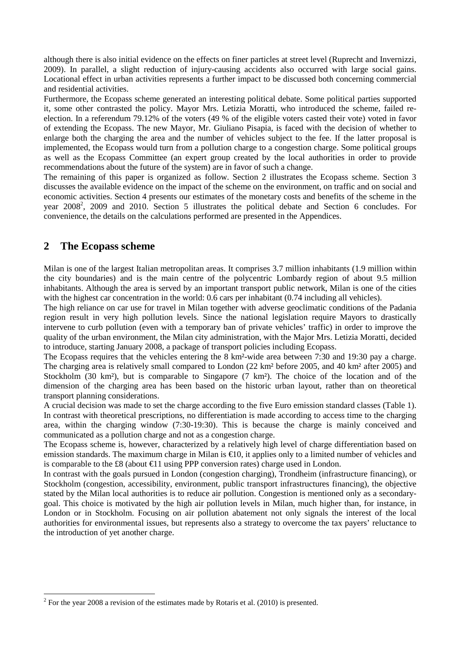although there is also initial evidence on the effects on finer particles at street level (Ruprecht and Invernizzi, 2009). In parallel, a slight reduction of injury-causing accidents also occurred with large social gains. Locational effect in urban activities represents a further impact to be discussed both concerning commercial and residential activities.

Furthermore, the Ecopass scheme generated an interesting political debate. Some political parties supported it, some other contrasted the policy. Mayor Mrs. Letizia Moratti, who introduced the scheme, failed reelection. In a referendum 79.12% of the voters (49 % of the eligible voters casted their vote) voted in favor of extending the Ecopass. The new Mayor, Mr. Giuliano Pisapia, is faced with the decision of whether to enlarge both the charging the area and the number of vehicles subject to the fee. If the latter proposal is implemented, the Ecopass would turn from a pollution charge to a congestion charge. Some political groups as well as the Ecopass Committee (an expert group created by the local authorities in order to provide recommendations about the future of the system) are in favor of such a change.

The remaining of this paper is organized as follow. Section 2 illustrates the Ecopass scheme. Section 3 discusses the available evidence on the impact of the scheme on the environment, on traffic and on social and economic activities. Section 4 presents our estimates of the monetary costs and benefits of the scheme in the year 2008<sup>2</sup>, 2009 and 2010. Section 5 illustrates the political debate and Section 6 concludes. For convenience, the details on the calculations performed are presented in the Appendices.

#### **2 The Ecopass scheme**

 $\overline{a}$ 

Milan is one of the largest Italian metropolitan areas. It comprises 3.7 million inhabitants (1.9 million within the city boundaries) and is the main centre of the polycentric Lombardy region of about 9.5 million inhabitants. Although the area is served by an important transport public network, Milan is one of the cities with the highest car concentration in the world: 0.6 cars per inhabitant (0.74 including all vehicles).

The high reliance on car use for travel in Milan together with adverse geoclimatic conditions of the Padania region result in very high pollution levels. Since the national legislation require Mayors to drastically intervene to curb pollution (even with a temporary ban of private vehicles' traffic) in order to improve the quality of the urban environment, the Milan city administration, with the Major Mrs. Letizia Moratti, decided to introduce, starting January 2008, a package of transport policies including Ecopass.

The Ecopass requires that the vehicles entering the 8 km²-wide area between 7:30 and 19:30 pay a charge. The charging area is relatively small compared to London (22 km² before 2005, and 40 km² after 2005) and Stockholm (30 km<sup>2</sup>), but is comparable to Singapore (7 km<sup>2</sup>). The choice of the location and of the dimension of the charging area has been based on the historic urban layout, rather than on theoretical transport planning considerations.

A crucial decision was made to set the charge according to the five Euro emission standard classes (Table 1). In contrast with theoretical prescriptions, no differentiation is made according to access time to the charging area, within the charging window (7:30-19:30). This is because the charge is mainly conceived and communicated as a pollution charge and not as a congestion charge.

The Ecopass scheme is, however, characterized by a relatively high level of charge differentiation based on emission standards. The maximum charge in Milan is  $\epsilon$ 10, it applies only to a limited number of vehicles and is comparable to the £8 (about  $\in$  11 using PPP conversion rates) charge used in London.

In contrast with the goals pursued in London (congestion charging), Trondheim (infrastructure financing), or Stockholm (congestion, accessibility, environment, public transport infrastructures financing), the objective stated by the Milan local authorities is to reduce air pollution. Congestion is mentioned only as a secondarygoal. This choice is motivated by the high air pollution levels in Milan, much higher than, for instance, in London or in Stockholm. Focusing on air pollution abatement not only signals the interest of the local authorities for environmental issues, but represents also a strategy to overcome the tax payers' reluctance to the introduction of yet another charge.

 $2^2$  For the year 2008 a revision of the estimates made by Rotaris et al. (2010) is presented.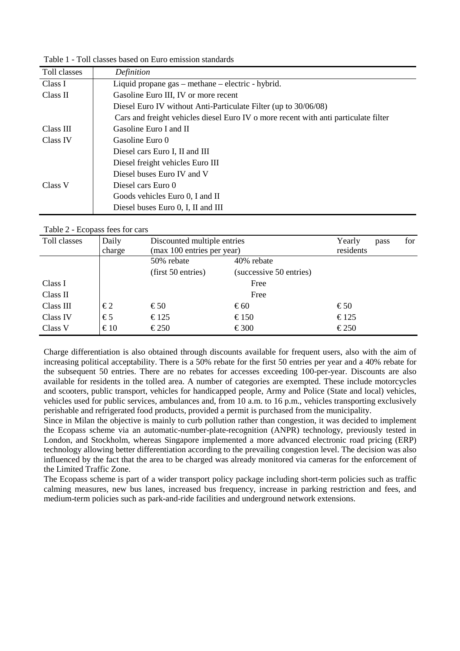| Toll classes | Definition                                                                          |
|--------------|-------------------------------------------------------------------------------------|
| Class I      | Liquid propane gas – methane – electric - hybrid.                                   |
| Class II     | Gasoline Euro III, IV or more recent                                                |
|              | Diesel Euro IV without Anti-Particulate Filter (up to 30/06/08)                     |
|              | Cars and freight vehicles diesel Euro IV o more recent with anti-particulate filter |
| Class III    | Gasoline Euro I and II                                                              |
| Class IV     | Gasoline Euro 0                                                                     |
|              | Diesel cars Euro I, II and III                                                      |
|              | Diesel freight vehicles Euro III                                                    |
|              | Diesel buses Euro IV and V                                                          |
| Class V      | Diesel cars Euro 0                                                                  |
|              | Goods vehicles Euro 0, I and II                                                     |
|              | Diesel buses Euro 0, I, II and III                                                  |

Table 1 - Toll classes based on Euro emission standards

Table 2 - Ecopass fees for cars

| Toll classes | Daily<br>charge | Discounted multiple entries<br>(max 100 entries per year) | Yearly<br>residents     | pass           | for |  |
|--------------|-----------------|-----------------------------------------------------------|-------------------------|----------------|-----|--|
|              |                 | 50% rebate                                                | 40% rebate              |                |     |  |
|              |                 | (first 50 entries)                                        | (successive 50 entries) |                |     |  |
| Class I      |                 |                                                           | Free                    |                |     |  |
| Class II     |                 |                                                           | Free                    |                |     |  |
| Class III    | $\epsilon$ 2    | $\epsilon$ 50                                             | $\epsilon$ 60           | $\epsilon$ 50  |     |  |
| Class IV     | $\epsilon$ 5    | $\epsilon$ 125                                            | € 150                   | € 125          |     |  |
| Class V      | $\epsilon$ 10   | $\epsilon$ 250                                            | $\epsilon$ 300          | $\epsilon$ 250 |     |  |

Charge differentiation is also obtained through discounts available for frequent users, also with the aim of increasing political acceptability. There is a 50% rebate for the first 50 entries per year and a 40% rebate for the subsequent 50 entries. There are no rebates for accesses exceeding 100-per-year. Discounts are also available for residents in the tolled area. A number of categories are exempted. These include motorcycles and scooters, public transport, vehicles for handicapped people, Army and Police (State and local) vehicles, vehicles used for public services, ambulances and, from 10 a.m. to 16 p.m., vehicles transporting exclusively perishable and refrigerated food products, provided a permit is purchased from the municipality.

Since in Milan the objective is mainly to curb pollution rather than congestion, it was decided to implement the Ecopass scheme via an automatic-number-plate-recognition (ANPR) technology, previously tested in London, and Stockholm, whereas Singapore implemented a more advanced electronic road pricing (ERP) technology allowing better differentiation according to the prevailing congestion level. The decision was also influenced by the fact that the area to be charged was already monitored via cameras for the enforcement of the Limited Traffic Zone.

The Ecopass scheme is part of a wider transport policy package including short-term policies such as traffic calming measures, new bus lanes, increased bus frequency, increase in parking restriction and fees, and medium-term policies such as park-and-ride facilities and underground network extensions.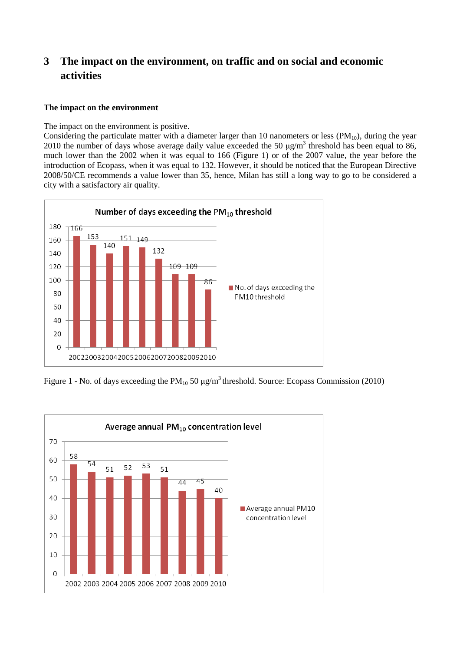# **3 The impact on the environment, on traffic and on social and economic activities**

#### **The impact on the environment**

The impact on the environment is positive.

Considering the particulate matter with a diameter larger than 10 nanometers or less  $(PM_{10})$ , during the year 2010 the number of days whose average daily value exceeded the 50  $\mu$ g/m<sup>3</sup> threshold has been equal to 86, much lower than the 2002 when it was equal to 166 (Figure 1) or of the 2007 value, the year before the introduction of Ecopass, when it was equal to 132. However, it should be noticed that the European Directive 2008/50/CE recommends a value lower than 35, hence, Milan has still a long way to go to be considered a city with a satisfactory air quality.



Figure 1 - No. of days exceeding the  $PM_{10}$  50  $\mu$ g/m<sup>3</sup> threshold. Source: Ecopass Commission (2010)

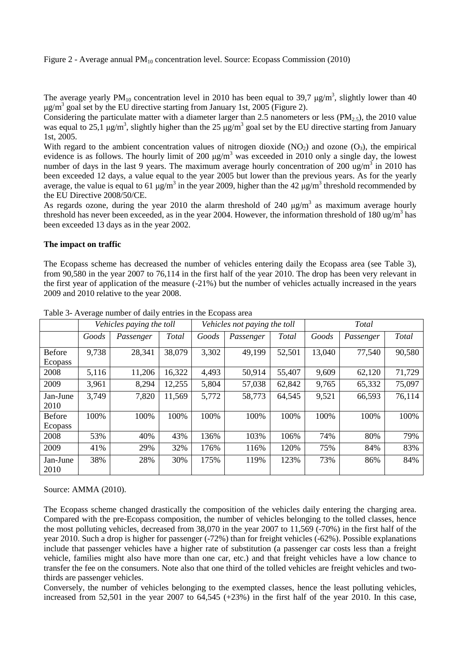Figure 2 - Average annual  $PM_{10}$  concentration level. Source: Ecopass Commission (2010)

The average yearly PM<sub>10</sub> concentration level in 2010 has been equal to 39,7  $\mu$ g/m<sup>3</sup>, slightly lower than 40  $\mu$ g/m<sup>3</sup> goal set by the EU directive starting from January 1st, 2005 (Figure 2).

Considering the particulate matter with a diameter larger than 2.5 nanometers or less (PM<sub>2.5</sub>), the 2010 value was equal to 25,1  $\mu$ g/m<sup>3</sup>, slightly higher than the 25  $\mu$ g/m<sup>3</sup> goal set by the EU directive starting from January 1st, 2005.

With regard to the ambient concentration values of nitrogen dioxide  $(NO<sub>2</sub>)$  and ozone  $(O<sub>3</sub>)$ , the empirical evidence is as follows. The hourly limit of 200  $\mu$ g/m<sup>3</sup> was exceeded in 2010 only a single day, the lowest number of days in the last 9 years. The maximum average hourly concentration of 200 ug/m<sup>3</sup> in 2010 has been exceeded 12 days, a value equal to the year 2005 but lower than the previous years. As for the yearly average, the value is equal to 61  $\mu$ g/m<sup>3</sup> in the year 2009, higher than the 42  $\mu$ g/m<sup>3</sup> threshold recommended by the EU Directive 2008/50/CE.

As regards ozone, during the year 2010 the alarm threshold of 240  $\mu$ g/m<sup>3</sup> as maximum average hourly threshold has never been exceeded, as in the year 2004. However, the information threshold of 180 ug/m<sup>3</sup> has been exceeded 13 days as in the year 2002.

#### **The impact on traffic**

The Ecopass scheme has decreased the number of vehicles entering daily the Ecopass area (see Table 3), from 90,580 in the year 2007 to 76,114 in the first half of the year 2010. The drop has been very relevant in the first year of application of the measure (-21%) but the number of vehicles actually increased in the years 2009 and 2010 relative to the year 2008.

|                   | Vehicles paying the toll |           |        | Vehicles not paying the toll |           |        | <b>Total</b> |           |        |
|-------------------|--------------------------|-----------|--------|------------------------------|-----------|--------|--------------|-----------|--------|
|                   | Goods                    | Passenger | Total  | Goods                        | Passenger | Total  | Goods        | Passenger | Total  |
| Before<br>Ecopass | 9,738                    | 28,341    | 38,079 | 3,302                        | 49,199    | 52,501 | 13,040       | 77,540    | 90,580 |
| 2008              | 5,116                    | 11,206    | 16,322 | 4,493                        | 50,914    | 55,407 | 9,609        | 62,120    | 71,729 |
| 2009              | 3,961                    | 8,294     | 12,255 | 5,804                        | 57,038    | 62,842 | 9,765        | 65,332    | 75,097 |
| Jan-June<br>2010  | 3,749                    | 7,820     | 11,569 | 5,772                        | 58,773    | 64,545 | 9,521        | 66,593    | 76,114 |
| Before<br>Ecopass | 100%                     | 100%      | 100%   | 100%                         | 100%      | 100%   | 100%         | 100%      | 100%   |
| 2008              | 53%                      | 40%       | 43%    | 136%                         | 103%      | 106%   | 74%          | 80%       | 79%    |
| 2009              | 41%                      | 29%       | 32%    | 176%                         | 116%      | 120%   | 75%          | 84%       | 83%    |
| Jan-June<br>2010  | 38%                      | 28%       | 30%    | 175%                         | 119%      | 123%   | 73%          | 86%       | 84%    |

Table 3- Average number of daily entries in the Ecopass area

Source: AMMA (2010).

The Ecopass scheme changed drastically the composition of the vehicles daily entering the charging area. Compared with the pre-Ecopass composition, the number of vehicles belonging to the tolled classes, hence the most polluting vehicles, decreased from 38,070 in the year 2007 to 11,569 (-70%) in the first half of the year 2010. Such a drop is higher for passenger (-72%) than for freight vehicles (-62%). Possible explanations include that passenger vehicles have a higher rate of substitution (a passenger car costs less than a freight vehicle, families might also have more than one car, etc.) and that freight vehicles have a low chance to transfer the fee on the consumers. Note also that one third of the tolled vehicles are freight vehicles and twothirds are passenger vehicles.

Conversely, the number of vehicles belonging to the exempted classes, hence the least polluting vehicles, increased from 52,501 in the year 2007 to 64,545 (+23%) in the first half of the year 2010. In this case,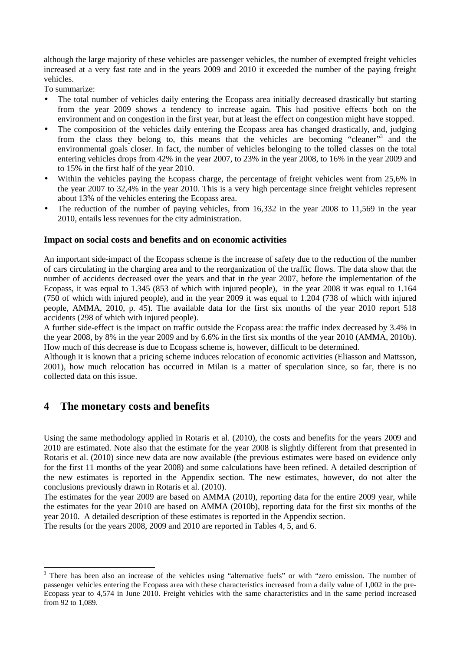although the large majority of these vehicles are passenger vehicles, the number of exempted freight vehicles increased at a very fast rate and in the years 2009 and 2010 it exceeded the number of the paying freight vehicles.

To summarize:

- The total number of vehicles daily entering the Ecopass area initially decreased drastically but starting from the year 2009 shows a tendency to increase again. This had positive effects both on the environment and on congestion in the first year, but at least the effect on congestion might have stopped.
- The composition of the vehicles daily entering the Ecopass area has changed drastically, and, judging from the class they belong to, this means that the vehicles are becoming "cleaner"<sup>3</sup> and the environmental goals closer. In fact, the number of vehicles belonging to the tolled classes on the total entering vehicles drops from 42% in the year 2007, to 23% in the year 2008, to 16% in the year 2009 and to 15% in the first half of the year 2010.
- Within the vehicles paying the Ecopass charge, the percentage of freight vehicles went from 25,6% in the year 2007 to 32,4% in the year 2010. This is a very high percentage since freight vehicles represent about 13% of the vehicles entering the Ecopass area.
- The reduction of the number of paying vehicles, from 16,332 in the year 2008 to 11,569 in the year 2010, entails less revenues for the city administration.

#### **Impact on social costs and benefits and on economic activities**

An important side-impact of the Ecopass scheme is the increase of safety due to the reduction of the number of cars circulating in the charging area and to the reorganization of the traffic flows. The data show that the number of accidents decreased over the years and that in the year 2007, before the implementation of the Ecopass, it was equal to 1.345 (853 of which with injured people), in the year 2008 it was equal to 1.164 (750 of which with injured people), and in the year 2009 it was equal to 1.204 (738 of which with injured people, AMMA, 2010, p. 45). The available data for the first six months of the year 2010 report 518 accidents (298 of which with injured people).

A further side-effect is the impact on traffic outside the Ecopass area: the traffic index decreased by 3.4% in the year 2008, by 8% in the year 2009 and by 6.6% in the first six months of the year 2010 (AMMA, 2010b). How much of this decrease is due to Ecopass scheme is, however, difficult to be determined.

Although it is known that a pricing scheme induces relocation of economic activities (Eliasson and Mattsson, 2001), how much relocation has occurred in Milan is a matter of speculation since, so far, there is no collected data on this issue.

### **4 The monetary costs and benefits**

l

Using the same methodology applied in Rotaris et al. (2010), the costs and benefits for the years 2009 and 2010 are estimated. Note also that the estimate for the year 2008 is slightly different from that presented in Rotaris et al. (2010) since new data are now available (the previous estimates were based on evidence only for the first 11 months of the year 2008) and some calculations have been refined. A detailed description of the new estimates is reported in the Appendix section. The new estimates, however, do not alter the conclusions previously drawn in Rotaris et al. (2010).

The estimates for the year 2009 are based on AMMA (2010), reporting data for the entire 2009 year, while the estimates for the year 2010 are based on AMMA (2010b), reporting data for the first six months of the year 2010. A detailed description of these estimates is reported in the Appendix section. The results for the years 2008, 2009 and 2010 are reported in Tables 4, 5, and 6.

<sup>&</sup>lt;sup>3</sup> There has been also an increase of the vehicles using "alternative fuels" or with "zero emission. The number of passenger vehicles entering the Ecopass area with these characteristics increased from a daily value of 1,002 in the pre-Ecopass year to 4,574 in June 2010. Freight vehicles with the same characteristics and in the same period increased from 92 to 1,089.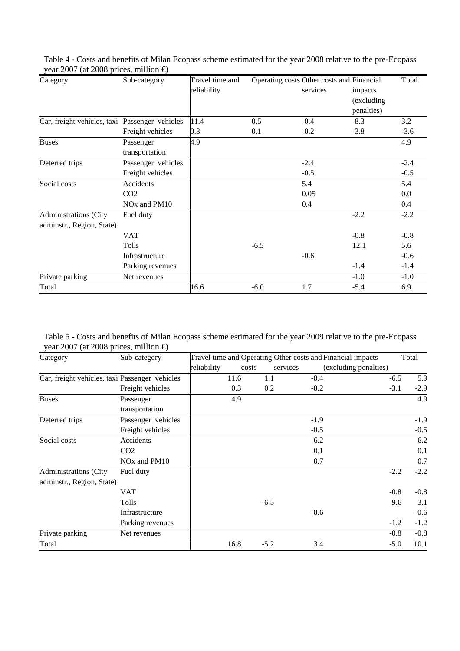| Category                                       | Sub-category                         | Travel time and<br>reliability | Operating costs Other costs and Financial | services | impacts<br>(excluding<br>penalties) | Total   |
|------------------------------------------------|--------------------------------------|--------------------------------|-------------------------------------------|----------|-------------------------------------|---------|
| Car, freight vehicles, taxi Passenger vehicles |                                      | 11.4                           | 0.5                                       | $-0.4$   | $-8.3$                              | 3.2     |
|                                                | Freight vehicles                     | 0.3                            | 0.1                                       | $-0.2$   | $-3.8$                              | $-3.6$  |
| <b>Buses</b>                                   | Passenger                            | 4.9                            |                                           |          |                                     | 4.9     |
|                                                | transportation                       |                                |                                           |          |                                     |         |
| Deterred trips                                 | Passenger vehicles                   |                                |                                           | $-2.4$   |                                     | $-2.4$  |
|                                                | Freight vehicles                     |                                |                                           | $-0.5$   |                                     | $-0.5$  |
| Social costs                                   | Accidents                            |                                |                                           | 5.4      |                                     | 5.4     |
|                                                | CO <sub>2</sub>                      |                                |                                           | 0.05     |                                     | $0.0\,$ |
|                                                | NO <sub>x</sub> and PM <sub>10</sub> |                                |                                           | 0.4      |                                     | 0.4     |
| <b>Administrations (City</b>                   | Fuel duty                            |                                |                                           |          | $-2.2$                              | $-2.2$  |
| adminstr., Region, State)                      |                                      |                                |                                           |          |                                     |         |
|                                                | <b>VAT</b>                           |                                |                                           |          | $-0.8$                              | $-0.8$  |
|                                                | Tolls                                |                                | $-6.5$                                    |          | 12.1                                | 5.6     |
|                                                | Infrastructure                       |                                |                                           | $-0.6$   |                                     | $-0.6$  |
|                                                | Parking revenues                     |                                |                                           |          | $-1.4$                              | $-1.4$  |
| Private parking                                | Net revenues                         |                                |                                           |          | $-1.0$                              | $-1.0$  |
| Total                                          |                                      | 16.6                           | $-6.0$                                    | 1.7      | $-5.4$                              | 6.9     |

Table 4 - Costs and benefits of Milan Ecopass scheme estimated for the year 2008 relative to the pre-Ecopass vear 2007 (at 2008 prices, million  $\epsilon$ )

Table 5 - Costs and benefits of Milan Ecopass scheme estimated for the year 2009 relative to the pre-Ecopass year 2007 (at 2008 prices, million  $\epsilon$ )

| Category                                       | Sub-category                         |             | Travel time and Operating Other costs and Financial impacts |          |                       |        | Total  |
|------------------------------------------------|--------------------------------------|-------------|-------------------------------------------------------------|----------|-----------------------|--------|--------|
|                                                |                                      | reliability | costs                                                       | services | (excluding penalties) |        |        |
| Car, freight vehicles, taxi Passenger vehicles |                                      |             | 11.6                                                        | 1.1      | $-0.4$                | $-6.5$ | 5.9    |
|                                                | Freight vehicles                     |             | 0.3                                                         | 0.2      | $-0.2$                | $-3.1$ | $-2.9$ |
| <b>Buses</b>                                   | Passenger                            |             | 4.9                                                         |          |                       |        | 4.9    |
|                                                | transportation                       |             |                                                             |          |                       |        |        |
| Deterred trips                                 | Passenger vehicles                   |             |                                                             |          | $-1.9$                |        | $-1.9$ |
|                                                | Freight vehicles                     |             |                                                             |          | $-0.5$                |        | $-0.5$ |
| Social costs                                   | Accidents                            |             |                                                             |          | 6.2                   |        | 6.2    |
|                                                | CO <sub>2</sub>                      |             |                                                             |          | 0.1                   |        | 0.1    |
|                                                | NO <sub>x</sub> and PM <sub>10</sub> |             |                                                             |          | 0.7                   |        | 0.7    |
| <b>Administrations (City</b>                   | Fuel duty                            |             |                                                             |          |                       | $-2.2$ | $-2.2$ |
| adminstr., Region, State)                      |                                      |             |                                                             |          |                       |        |        |
|                                                | VAT                                  |             |                                                             |          |                       | $-0.8$ | $-0.8$ |
|                                                | Tolls                                |             |                                                             | $-6.5$   |                       | 9.6    | 3.1    |
|                                                | Infrastructure                       |             |                                                             |          | $-0.6$                |        | $-0.6$ |
|                                                | Parking revenues                     |             |                                                             |          |                       | $-1.2$ | $-1.2$ |
| Private parking                                | Net revenues                         |             |                                                             |          |                       | $-0.8$ | $-0.8$ |
| Total                                          |                                      |             | 16.8                                                        | $-5.2$   | 3.4                   | $-5.0$ | 10.1   |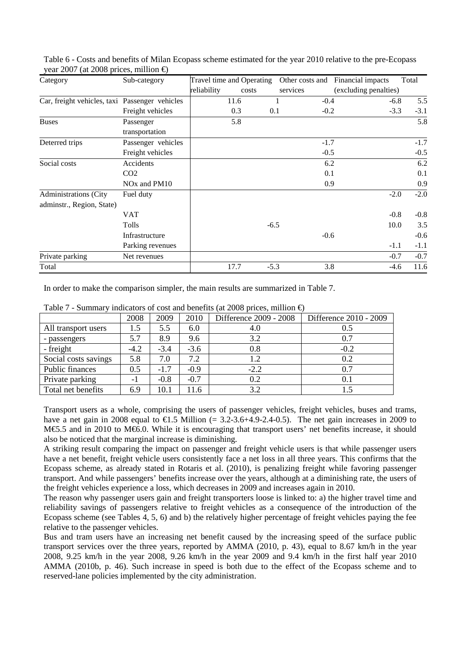| --- - - - - <sub>(</sub> --- - - - - r<br>Category | Sub-category                         |             | Travel time and Operating |        |          | Other costs and Financial impacts | Total  |
|----------------------------------------------------|--------------------------------------|-------------|---------------------------|--------|----------|-----------------------------------|--------|
|                                                    |                                      | reliability | costs                     |        | services | (excluding penalties)             |        |
| Car, freight vehicles, taxi Passenger vehicles     |                                      |             | 11.6                      |        | $-0.4$   | $-6.8$                            | 5.5    |
|                                                    | Freight vehicles                     |             | 0.3                       | 0.1    | $-0.2$   | $-3.3$                            | $-3.1$ |
| <b>Buses</b>                                       | Passenger                            |             | 5.8                       |        |          |                                   | 5.8    |
|                                                    | transportation                       |             |                           |        |          |                                   |        |
| Deterred trips                                     | Passenger vehicles                   |             |                           |        | $-1.7$   |                                   | $-1.7$ |
|                                                    | Freight vehicles                     |             |                           |        | $-0.5$   |                                   | $-0.5$ |
| Social costs                                       | Accidents                            |             |                           |        |          | 6.2                               | 6.2    |
|                                                    | CO <sub>2</sub>                      |             |                           |        |          | 0.1                               | 0.1    |
|                                                    | NO <sub>x</sub> and PM <sub>10</sub> |             |                           |        |          | 0.9                               | 0.9    |
| <b>Administrations (City</b>                       | Fuel duty                            |             |                           |        |          | $-2.0$                            | $-2.0$ |
| adminstr., Region, State)                          |                                      |             |                           |        |          |                                   |        |
|                                                    | VAT                                  |             |                           |        |          | $-0.8$                            | $-0.8$ |
|                                                    | Tolls                                |             |                           | $-6.5$ |          | 10.0                              | 3.5    |
|                                                    | Infrastructure                       |             |                           |        | $-0.6$   |                                   | $-0.6$ |
|                                                    | Parking revenues                     |             |                           |        |          | $-1.1$                            | $-1.1$ |
| Private parking                                    | Net revenues                         |             |                           |        |          | $-0.7$                            | $-0.7$ |
| Total                                              |                                      |             | 17.7                      | $-5.3$ |          | 3.8<br>$-4.6$                     | 11.6   |

Table 6 - Costs and benefits of Milan Ecopass scheme estimated for the year 2010 relative to the pre-Ecopass vear 2007 (at 2008 prices, million  $\epsilon$ )

In order to make the comparison simpler, the main results are summarized in Table 7.

|                      | 2008   | 2009   | 2010   | Difference 2009 - 2008 | Difference 2010 - 2009 |
|----------------------|--------|--------|--------|------------------------|------------------------|
| All transport users  | 1.5    | 5.5    | 6.0    | 4.0                    | 0.5                    |
| - passengers         | 5.7    | 8.9    | 9.6    | 3.2                    | 0.7                    |
| - freight            | $-4.2$ | $-3.4$ | $-3.6$ | 0.8                    | $-0.2$                 |
| Social costs savings | 5.8    | 7.0    | 7.2    | 1.2                    | 0.2                    |
| Public finances      | 0.5    | $-1.7$ | $-0.9$ | $-2.2$                 | 0.7                    |
| Private parking      | - 1    | $-0.8$ | $-0.7$ | 0.2                    | 0.1                    |
| Total net benefits   | 6.9    | 10.1   | 11.6   | 3.2                    |                        |

Table 7 - Summary indicators of cost and benefits (at 2008 prices, million  $\epsilon$ )

Transport users as a whole, comprising the users of passenger vehicles, freight vehicles, buses and trams, have a net gain in 2008 equal to  $\epsilon$ 1.5 Million (= 32-3.6+4.9-2.4-0.5). The net gain increases in 2009 to M€5.5 and in 2010 to M€6.0. While it is encouraging that transport users' net benefits increase, it should also be noticed that the marginal increase is diminishing.

A striking result comparing the impact on passenger and freight vehicle users is that while passenger users have a net benefit, freight vehicle users consistently face a net loss in all three years. This confirms that the Ecopass scheme, as already stated in Rotaris et al. (2010), is penalizing freight while favoring passenger transport. And while passengers' benefits increase over the years, although at a diminishing rate, the users of the freight vehicles experience a loss, which decreases in 2009 and increases again in 2010.

The reason why passenger users gain and freight transporters loose is linked to: a) the higher travel time and reliability savings of passengers relative to freight vehicles as a consequence of the introduction of the Ecopass scheme (see Tables 4, 5, 6) and b) the relatively higher percentage of freight vehicles paying the fee relative to the passenger vehicles.

Bus and tram users have an increasing net benefit caused by the increasing speed of the surface public transport services over the three years, reported by AMMA (2010, p. 43), equal to 8.67 km/h in the year 2008, 9.25 km/h in the year 2008, 9.26 km/h in the year 2009 and 9.4 km/h in the first half year 2010 AMMA (2010b, p. 46). Such increase in speed is both due to the effect of the Ecopass scheme and to reserved-lane policies implemented by the city administration.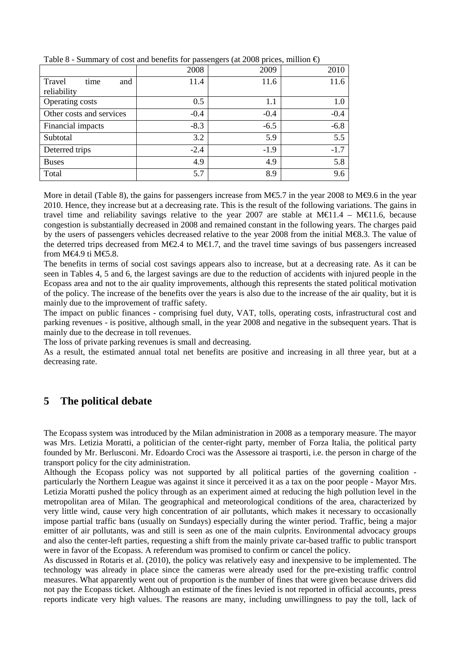|                          | 2008   | 2009   | 2010   |
|--------------------------|--------|--------|--------|
| Travel<br>and<br>time    | 11.4   | 11.6   | 11.6   |
| reliability              |        |        |        |
| Operating costs          | 0.5    | 1.1    | 1.0    |
| Other costs and services | $-0.4$ | $-0.4$ | $-0.4$ |
| Financial impacts        | $-8.3$ | $-6.5$ | $-6.8$ |
| Subtotal                 | 3.2    | 5.9    | 5.5    |
| Deterred trips           | $-2.4$ | $-1.9$ | $-1.7$ |
| <b>Buses</b>             | 4.9    | 4.9    | 5.8    |
| Total                    | 5.7    | 8.9    | 9.6    |

Table 8 - Summary of cost and benefits for passengers (at 2008 prices, million  $\epsilon$ )

More in detail (Table 8), the gains for passengers increase from M€5.7 in the year 2008 to M€9.6 in the year 2010. Hence, they increase but at a decreasing rate. This is the result of the following variations. The gains in travel time and reliability savings relative to the year 2007 are stable at  $M \in 11.4$  –  $M \in 11.6$ , because congestion is substantially decreased in 2008 and remained constant in the following years. The charges paid by the users of passengers vehicles decreased relative to the year 2008 from the initial M€8.3. The value of the deterred trips decreased from M€2.4 to M€1.7, ad the travel time savings of bus passengers increased from M€4.9 ti M€5.8.

The benefits in terms of social cost savings appears also to increase, but at a decreasing rate. As it can be seen in Tables 4, 5 and 6, the largest savings are due to the reduction of accidents with injured people in the Ecopass area and not to the air quality improvements, although this represents the stated political motivation of the policy. The increase of the benefits over the years is also due to the increase of the air quality, but it is mainly due to the improvement of traffic safety.

The impact on public finances - comprising fuel duty, VAT, tolls, operating costs, infrastructural cost and parking revenues - is positive, although small, in the year 2008 and negative in the subsequent years. That is mainly due to the decrease in toll revenues.

The loss of private parking revenues is small and decreasing.

As a result, the estimated annual total net benefits are positive and increasing in all three year, but at a decreasing rate.

## **5 The political debate**

The Ecopass system was introduced by the Milan administration in 2008 as a temporary measure. The mayor was Mrs. Letizia Moratti, a politician of the center-right party, member of Forza Italia, the political party founded by Mr. Berlusconi. Mr. Edoardo Croci was the Assessore ai trasporti, i.e. the person in charge of the transport policy for the city administration.

Although the Ecopass policy was not supported by all political parties of the governing coalition particularly the Northern League was against it since it perceived it as a tax on the poor people - Mayor Mrs. Letizia Moratti pushed the policy through as an experiment aimed at reducing the high pollution level in the metropolitan area of Milan. The geographical and meteorological conditions of the area, characterized by very little wind, cause very high concentration of air pollutants, which makes it necessary to occasionally impose partial traffic bans (usually on Sundays) especially during the winter period. Traffic, being a major emitter of air pollutants, was and still is seen as one of the main culprits. Environmental advocacy groups and also the center-left parties, requesting a shift from the mainly private car-based traffic to public transport were in favor of the Ecopass. A referendum was promised to confirm or cancel the policy.

As discussed in Rotaris et al. (2010), the policy was relatively easy and inexpensive to be implemented. The technology was already in place since the cameras were already used for the pre-existing traffic control measures. What apparently went out of proportion is the number of fines that were given because drivers did not pay the Ecopass ticket. Although an estimate of the fines levied is not reported in official accounts, press reports indicate very high values. The reasons are many, including unwillingness to pay the toll, lack of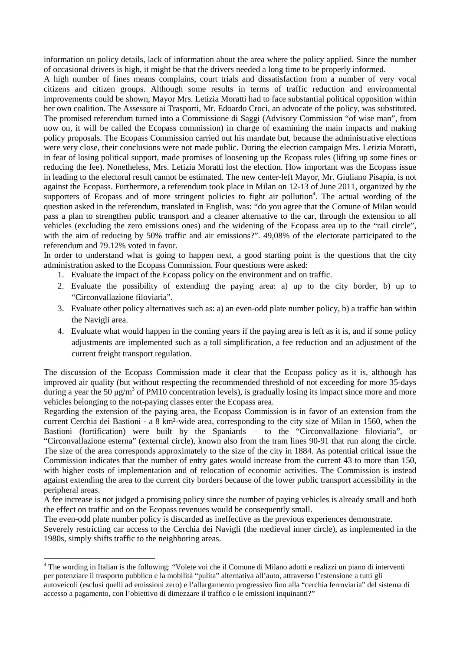information on policy details, lack of information about the area where the policy applied. Since the number of occasional drivers is high, it might be that the drivers needed a long time to be properly informed.

A high number of fines means complains, court trials and dissatisfaction from a number of very vocal citizens and citizen groups. Although some results in terms of traffic reduction and environmental improvements could be shown, Mayor Mrs. Letizia Moratti had to face substantial political opposition within her own coalition. The Assessore ai Trasporti, Mr. Edoardo Croci, an advocate of the policy, was substituted. The promised referendum turned into a Commissione di Saggi (Advisory Commission "of wise man", from now on, it will be called the Ecopass commission) in charge of examining the main impacts and making policy proposals. The Ecopass Commission carried out his mandate but, because the administrative elections were very close, their conclusions were not made public. During the election campaign Mrs. Letizia Moratti, in fear of losing political support, made promises of loosening up the Ecopass rules (lifting up some fines or reducing the fee). Nonetheless, Mrs. Letizia Moratti lost the election. How important was the Ecopass issue in leading to the electoral result cannot be estimated. The new center-left Mayor, Mr. Giuliano Pisapia, is not against the Ecopass. Furthermore, a referendum took place in Milan on 12-13 of June 2011, organized by the supporters of Ecopass and of more stringent policies to fight air pollution<sup>4</sup>. The actual wording of the question asked in the referendum, translated in English, was: "do you agree that the Comune of Milan would pass a plan to strengthen public transport and a cleaner alternative to the car, through the extension to all vehicles (excluding the zero emissions ones) and the widening of the Ecopass area up to the "rail circle", with the aim of reducing by 50% traffic and air emissions?". 49,08% of the electorate participated to the referendum and 79.12% voted in favor.

In order to understand what is going to happen next, a good starting point is the questions that the city administration asked to the Ecopass Commission. Four questions were asked:

- 1. Evaluate the impact of the Ecopass policy on the environment and on traffic.
- 2. Evaluate the possibility of extending the paying area: a) up to the city border, b) up to "Circonvallazione filoviaria".
- 3. Evaluate other policy alternatives such as: a) an even-odd plate number policy, b) a traffic ban within the Navigli area.
- 4. Evaluate what would happen in the coming years if the paying area is left as it is, and if some policy adjustments are implemented such as a toll simplification, a fee reduction and an adjustment of the current freight transport regulation.

The discussion of the Ecopass Commission made it clear that the Ecopass policy as it is, although has improved air quality (but without respecting the recommended threshold of not exceeding for more 35-days during a year the 50  $\mu$ g/m<sup>3</sup> of PM10 concentration levels), is gradually losing its impact since more and more vehicles belonging to the not-paying classes enter the Ecopass area.

Regarding the extension of the paying area, the Ecopass Commission is in favor of an extension from the current Cerchia dei Bastioni - a 8 km²-wide area, corresponding to the city size of Milan in 1560, when the Bastioni (fortification) were built by the Spaniards – to the "Circonvallazione filoviaria", or "Circonvallazione esterna" (external circle), known also from the tram lines 90-91 that run along the circle. The size of the area corresponds approximately to the size of the city in 1884. As potential critical issue the Commission indicates that the number of entry gates would increase from the current 43 to more than 150, with higher costs of implementation and of relocation of economic activities. The Commission is instead against extending the area to the current city borders because of the lower public transport accessibility in the peripheral areas.

A fee increase is not judged a promising policy since the number of paying vehicles is already small and both the effect on traffic and on the Ecopass revenues would be consequently small.

The even-odd plate number policy is discarded as ineffective as the previous experiences demonstrate. Severely restricting car access to the Cerchia dei Navigli (the medieval inner circle), as implemented in the 1980s, simply shifts traffic to the neighboring areas.

 $\overline{a}$ 

<sup>&</sup>lt;sup>4</sup> The wording in Italian is the following: "Volete voi che il Comune di Milano adotti e realizzi un piano di interventi per potenziare il trasporto pubblico e la mobilità "pulita" alternativa all'auto, attraverso l'estensione a tutti gli autoveicoli (esclusi quelli ad emissioni zero) e l'allargamento progressivo fino alla "cerchia ferroviaria" del sistema di accesso a pagamento, con l'obiettivo di dimezzare il traffico e le emissioni inquinanti?"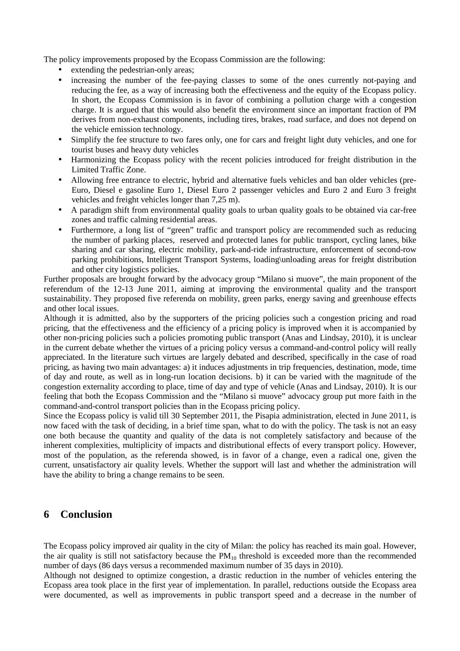The policy improvements proposed by the Ecopass Commission are the following:

- extending the pedestrian-only areas;
- increasing the number of the fee-paying classes to some of the ones currently not-paying and reducing the fee, as a way of increasing both the effectiveness and the equity of the Ecopass policy. In short, the Ecopass Commission is in favor of combining a pollution charge with a congestion charge. It is argued that this would also benefit the environment since an important fraction of PM derives from non-exhaust components, including tires, brakes, road surface, and does not depend on the vehicle emission technology.
- Simplify the fee structure to two fares only, one for cars and freight light duty vehicles, and one for tourist buses and heavy duty vehicles
- Harmonizing the Ecopass policy with the recent policies introduced for freight distribution in the Limited Traffic Zone.
- Allowing free entrance to electric, hybrid and alternative fuels vehicles and ban older vehicles (pre-Euro, Diesel e gasoline Euro 1, Diesel Euro 2 passenger vehicles and Euro 2 and Euro 3 freight vehicles and freight vehicles longer than 7,25 m).
- A paradigm shift from environmental quality goals to urban quality goals to be obtained via car-free zones and traffic calming residential areas.
- Furthermore, a long list of "green" traffic and transport policy are recommended such as reducing the number of parking places, reserved and protected lanes for public transport, cycling lanes, bike sharing and car sharing, electric mobility, park-and-ride infrastructure, enforcement of second-row parking prohibitions, Intelligent Transport Systems, loading\unloading areas for freight distribution and other city logistics policies.

Further proposals are brought forward by the advocacy group "Milano si muove", the main proponent of the referendum of the 12-13 June 2011, aiming at improving the environmental quality and the transport sustainability. They proposed five referenda on mobility, green parks, energy saving and greenhouse effects and other local issues.

Although it is admitted, also by the supporters of the pricing policies such a congestion pricing and road pricing, that the effectiveness and the efficiency of a pricing policy is improved when it is accompanied by other non-pricing policies such a policies promoting public transport (Anas and Lindsay, 2010), it is unclear in the current debate whether the virtues of a pricing policy versus a command-and-control policy will really appreciated. In the literature such virtues are largely debated and described, specifically in the case of road pricing, as having two main advantages: a) it induces adjustments in trip frequencies, destination, mode, time of day and route, as well as in long-run location decisions. b) it can be varied with the magnitude of the congestion externality according to place, time of day and type of vehicle (Anas and Lindsay, 2010). It is our feeling that both the Ecopass Commission and the "Milano si muove" advocacy group put more faith in the command-and-control transport policies than in the Ecopass pricing policy.

Since the Ecopass policy is valid till 30 September 2011, the Pisapia administration, elected in June 2011, is now faced with the task of deciding, in a brief time span, what to do with the policy. The task is not an easy one both because the quantity and quality of the data is not completely satisfactory and because of the inherent complexities, multiplicity of impacts and distributional effects of every transport policy. However, most of the population, as the referenda showed, is in favor of a change, even a radical one, given the current, unsatisfactory air quality levels. Whether the support will last and whether the administration will have the ability to bring a change remains to be seen.

### **6 Conclusion**

The Ecopass policy improved air quality in the city of Milan: the policy has reached its main goal. However, the air quality is still not satisfactory because the  $PM_{10}$  threshold is exceeded more than the recommended number of days (86 days versus a recommended maximum number of 35 days in 2010).

Although not designed to optimize congestion, a drastic reduction in the number of vehicles entering the Ecopass area took place in the first year of implementation. In parallel, reductions outside the Ecopass area were documented, as well as improvements in public transport speed and a decrease in the number of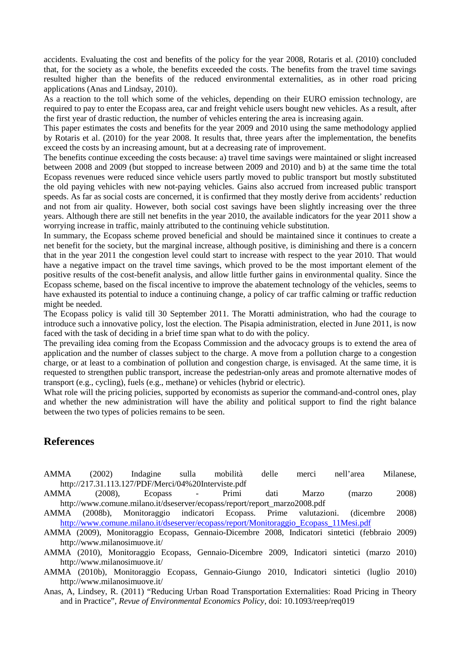accidents. Evaluating the cost and benefits of the policy for the year 2008, Rotaris et al. (2010) concluded that, for the society as a whole, the benefits exceeded the costs. The benefits from the travel time savings resulted higher than the benefits of the reduced environmental externalities, as in other road pricing applications (Anas and Lindsay, 2010).

As a reaction to the toll which some of the vehicles, depending on their EURO emission technology, are required to pay to enter the Ecopass area, car and freight vehicle users bought new vehicles. As a result, after the first year of drastic reduction, the number of vehicles entering the area is increasing again.

This paper estimates the costs and benefits for the year 2009 and 2010 using the same methodology applied by Rotaris et al. (2010) for the year 2008. It results that, three years after the implementation, the benefits exceed the costs by an increasing amount, but at a decreasing rate of improvement.

The benefits continue exceeding the costs because: a) travel time savings were maintained or slight increased between 2008 and 2009 (but stopped to increase between 2009 and 2010) and b) at the same time the total Ecopass revenues were reduced since vehicle users partly moved to public transport but mostly substituted the old paying vehicles with new not-paying vehicles. Gains also accrued from increased public transport speeds. As far as social costs are concerned, it is confirmed that they mostly derive from accidents' reduction and not from air quality. However, both social cost savings have been slightly increasing over the three years. Although there are still net benefits in the year 2010, the available indicators for the year 2011 show a worrying increase in traffic, mainly attributed to the continuing vehicle substitution.

In summary, the Ecopass scheme proved beneficial and should be maintained since it continues to create a net benefit for the society, but the marginal increase, although positive, is diminishing and there is a concern that in the year 2011 the congestion level could start to increase with respect to the year 2010. That would have a negative impact on the travel time savings, which proved to be the most important element of the positive results of the cost-benefit analysis, and allow little further gains in environmental quality. Since the Ecopass scheme, based on the fiscal incentive to improve the abatement technology of the vehicles, seems to have exhausted its potential to induce a continuing change, a policy of car traffic calming or traffic reduction might be needed.

The Ecopass policy is valid till 30 September 2011. The Moratti administration, who had the courage to introduce such a innovative policy, lost the election. The Pisapia administration, elected in June 2011, is now faced with the task of deciding in a brief time span what to do with the policy.

The prevailing idea coming from the Ecopass Commission and the advocacy groups is to extend the area of application and the number of classes subject to the charge. A move from a pollution charge to a congestion charge, or at least to a combination of pollution and congestion charge, is envisaged. At the same time, it is requested to strengthen public transport, increase the pedestrian-only areas and promote alternative modes of transport (e.g., cycling), fuels (e.g., methane) or vehicles (hybrid or electric).

What role will the pricing policies, supported by economists as superior the command-and-control ones, play and whether the new administration will have the ability and political support to find the right balance between the two types of policies remains to be seen.

#### **References**

- AMMA (2002) Indagine sulla mobilità delle merci nell'area Milanese, http://217.31.113.127/PDF/Merci/04%20Interviste.pdf
- AMMA (2008), Ecopass Primi dati Marzo (marzo 2008) http://www.comune.milano.it/dseserver/ecopass/report/report\_marzo2008.pdf

AMMA (2008b), Monitoraggio indicatori Ecopass. Prime valutazioni. (dicembre 2008) http://www.comune.milano.it/dseserver/ecopass/report/Monitoraggio\_Ecopass\_11Mesi.pdf

AMMA (2009), Monitoraggio Ecopass, Gennaio-Dicembre 2008, Indicatori sintetici (febbraio 2009) http://www.milanosimuove.it/

AMMA (2010), Monitoraggio Ecopass, Gennaio-Dicembre 2009, Indicatori sintetici (marzo 2010) http://www.milanosimuove.it/

AMMA (2010b), Monitoraggio Ecopass, Gennaio-Giungo 2010, Indicatori sintetici (luglio 2010) http://www.milanosimuove.it/

Anas, A, Lindsey, R. (2011) "Reducing Urban Road Transportation Externalities: Road Pricing in Theory and in Practice", *Revue of Environmental Economics Policy*, doi: 10.1093/reep/req019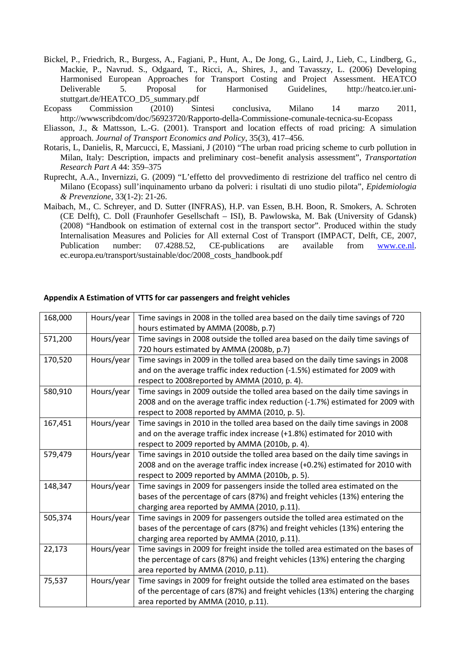- Bickel, P., Friedrich, R., Burgess, A., Fagiani, P., Hunt, A., De Jong, G., Laird, J., Lieb, C., Lindberg, G., Mackie, P., Navrud. S., Odgaard, T., Ricci, A., Shires, J., and Tavasszy, L. (2006) Developing Harmonised European Approaches for Transport Costing and Project Assessment. HEATCO Deliverable 5. Proposal for Harmonised Guidelines, http://heatco.ier.unistuttgart.de/HEATCO\_D5\_summary.pdf
- Ecopass Commission (2010) Sintesi conclusiva, Milano 14 marzo 2011, http://wwwscribdcom/doc/56923720/Rapporto-della-Commissione-comunale-tecnica-su-Ecopass
- Eliasson, J., & Mattsson, L.-G. (2001). Transport and location effects of road pricing: A simulation approach. *Journal of Transport Economics and Policy*, 35(3), 417–456.
- Rotaris, L, Danielis, R, Marcucci, E, Massiani, J (2010) "The urban road pricing scheme to curb pollution in Milan, Italy: Description, impacts and preliminary cost–benefit analysis assessment", *Transportation Research Part A* 44: 359–375
- Ruprecht, A.A., Invernizzi, G. (2009) "L'effetto del provvedimento di restrizione del traffico nel centro di Milano (Ecopass) sull'inquinamento urbano da polveri: i risultati di uno studio pilota", *Epidemiologia & Prevenzione*, 33(1-2): 21-26.
- Maibach, M., C. Schreyer, and D. Sutter (INFRAS), H.P. van Essen, B.H. Boon, R. Smokers, A. Schroten (CE Delft), C. Doll (Fraunhofer Gesellschaft – ISI), B. Pawlowska, M. Bak (University of Gdansk) (2008) "Handbook on estimation of external cost in the transport sector". Produced within the study Internalisation Measures and Policies for All external Cost of Transport (IMPACT, Delft, CE, 2007, Publication number: 07.4288.52, CE-publications are available from www.ce.nl. ec.europa.eu/transport/sustainable/doc/2008\_costs\_handbook.pdf

| 168,000 | Hours/year | Time savings in 2008 in the tolled area based on the daily time savings of 720    |
|---------|------------|-----------------------------------------------------------------------------------|
|         |            | hours estimated by AMMA (2008b, p.7)                                              |
| 571,200 | Hours/year | Time savings in 2008 outside the tolled area based on the daily time savings of   |
|         |            | 720 hours estimated by AMMA (2008b, p.7)                                          |
| 170,520 | Hours/year | Time savings in 2009 in the tolled area based on the daily time savings in 2008   |
|         |            | and on the average traffic index reduction (-1.5%) estimated for 2009 with        |
|         |            | respect to 2008reported by AMMA (2010, p. 4).                                     |
| 580,910 | Hours/year | Time savings in 2009 outside the tolled area based on the daily time savings in   |
|         |            | 2008 and on the average traffic index reduction (-1.7%) estimated for 2009 with   |
|         |            | respect to 2008 reported by AMMA (2010, p. 5).                                    |
| 167,451 | Hours/year | Time savings in 2010 in the tolled area based on the daily time savings in 2008   |
|         |            | and on the average traffic index increase (+1.8%) estimated for 2010 with         |
|         |            | respect to 2009 reported by AMMA (2010b, p. 4).                                   |
| 579,479 | Hours/year | Time savings in 2010 outside the tolled area based on the daily time savings in   |
|         |            | 2008 and on the average traffic index increase (+0.2%) estimated for 2010 with    |
|         |            | respect to 2009 reported by AMMA (2010b, p. 5).                                   |
| 148,347 | Hours/year | Time savings in 2009 for passengers inside the tolled area estimated on the       |
|         |            | bases of the percentage of cars (87%) and freight vehicles (13%) entering the     |
|         |            | charging area reported by AMMA (2010, p.11).                                      |
| 505,374 | Hours/year | Time savings in 2009 for passengers outside the tolled area estimated on the      |
|         |            | bases of the percentage of cars (87%) and freight vehicles (13%) entering the     |
|         |            | charging area reported by AMMA (2010, p.11).                                      |
| 22,173  | Hours/year | Time savings in 2009 for freight inside the tolled area estimated on the bases of |
|         |            | the percentage of cars (87%) and freight vehicles (13%) entering the charging     |
|         |            | area reported by AMMA (2010, p.11).                                               |
| 75,537  | Hours/year | Time savings in 2009 for freight outside the tolled area estimated on the bases   |
|         |            | of the percentage of cars (87%) and freight vehicles (13%) entering the charging  |
|         |            | area reported by AMMA (2010, p.11).                                               |

#### **Appendix A Estimation of VTTS for car passengers and freight vehicles**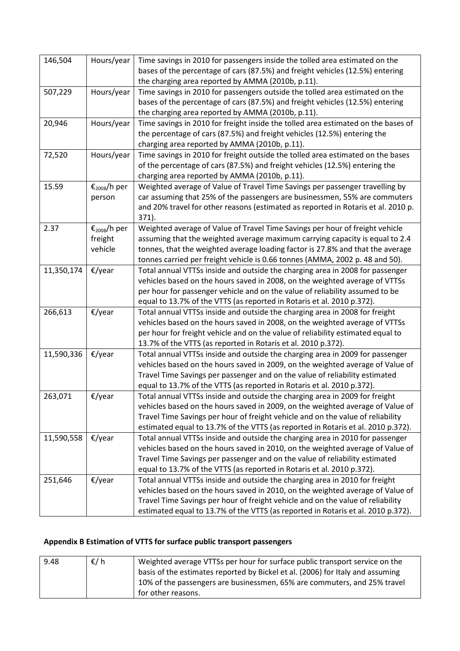| 146,504    | Hours/year                                     | Time savings in 2010 for passengers inside the tolled area estimated on the<br>bases of the percentage of cars (87.5%) and freight vehicles (12.5%) entering<br>the charging area reported by AMMA (2010b, p.11).                                                                                                                    |
|------------|------------------------------------------------|--------------------------------------------------------------------------------------------------------------------------------------------------------------------------------------------------------------------------------------------------------------------------------------------------------------------------------------|
| 507,229    | Hours/year                                     | Time savings in 2010 for passengers outside the tolled area estimated on the<br>bases of the percentage of cars (87.5%) and freight vehicles (12.5%) entering<br>the charging area reported by AMMA (2010b, p.11).                                                                                                                   |
| 20,946     | Hours/year                                     | Time savings in 2010 for freight inside the tolled area estimated on the bases of<br>the percentage of cars (87.5%) and freight vehicles (12.5%) entering the<br>charging area reported by AMMA (2010b, p.11).                                                                                                                       |
| 72,520     | Hours/year                                     | Time savings in 2010 for freight outside the tolled area estimated on the bases<br>of the percentage of cars (87.5%) and freight vehicles (12.5%) entering the<br>charging area reported by AMMA (2010b, p.11).                                                                                                                      |
| 15.59      | $\epsilon_{2008}$ /h per<br>person             | Weighted average of Value of Travel Time Savings per passenger travelling by<br>car assuming that 25% of the passengers are businessmen, 55% are commuters<br>and 20% travel for other reasons (estimated as reported in Rotaris et al. 2010 p.<br>371).                                                                             |
| 2.37       | $\epsilon_{2008}$ /h per<br>freight<br>vehicle | Weighted average of Value of Travel Time Savings per hour of freight vehicle<br>assuming that the weighted average maximum carrying capacity is equal to 2.4<br>tonnes, that the weighted average loading factor is 27.8% and that the average<br>tonnes carried per freight vehicle is 0.66 tonnes (AMMA, 2002 p. 48 and 50).       |
| 11,350,174 | €/year                                         | Total annual VTTSs inside and outside the charging area in 2008 for passenger<br>vehicles based on the hours saved in 2008, on the weighted average of VTTSs<br>per hour for passenger vehicle and on the value of reliability assumed to be<br>equal to 13.7% of the VTTS (as reported in Rotaris et al. 2010 p.372).               |
| 266,613    | €/year                                         | Total annual VTTSs inside and outside the charging area in 2008 for freight<br>vehicles based on the hours saved in 2008, on the weighted average of VTTSs<br>per hour for freight vehicle and on the value of reliability estimated equal to<br>13.7% of the VTTS (as reported in Rotaris et al. 2010 p.372).                       |
| 11,590,336 | €/year                                         | Total annual VTTSs inside and outside the charging area in 2009 for passenger<br>vehicles based on the hours saved in 2009, on the weighted average of Value of<br>Travel Time Savings per passenger and on the value of reliability estimated<br>equal to 13.7% of the VTTS (as reported in Rotaris et al. 2010 p.372).             |
| 263,071    | €/year                                         | Total annual VTTSs inside and outside the charging area in 2009 for freight<br>vehicles based on the hours saved in 2009, on the weighted average of Value of<br>Travel Time Savings per hour of freight vehicle and on the value of reliability<br>estimated equal to 13.7% of the VTTS (as reported in Rotaris et al. 2010 p.372). |
| 11,590,558 | $\epsilon$ /year                               | Total annual VTTSs inside and outside the charging area in 2010 for passenger<br>vehicles based on the hours saved in 2010, on the weighted average of Value of<br>Travel Time Savings per passenger and on the value of reliability estimated<br>equal to 13.7% of the VTTS (as reported in Rotaris et al. 2010 p.372).             |
| 251,646    | €/year                                         | Total annual VTTSs inside and outside the charging area in 2010 for freight<br>vehicles based on the hours saved in 2010, on the weighted average of Value of<br>Travel Time Savings per hour of freight vehicle and on the value of reliability<br>estimated equal to 13.7% of the VTTS (as reported in Rotaris et al. 2010 p.372). |

# **Appendix B Estimation of VTTS for surface public transport passengers**

| 9.48 | $\epsilon/h$ | Weighted average VTTSs per hour for surface public transport service on the<br>basis of the estimates reported by Bickel et al. (2006) for Italy and assuming |
|------|--------------|---------------------------------------------------------------------------------------------------------------------------------------------------------------|
|      |              | 10% of the passengers are businessmen, 65% are commuters, and 25% travel<br>for other reasons.                                                                |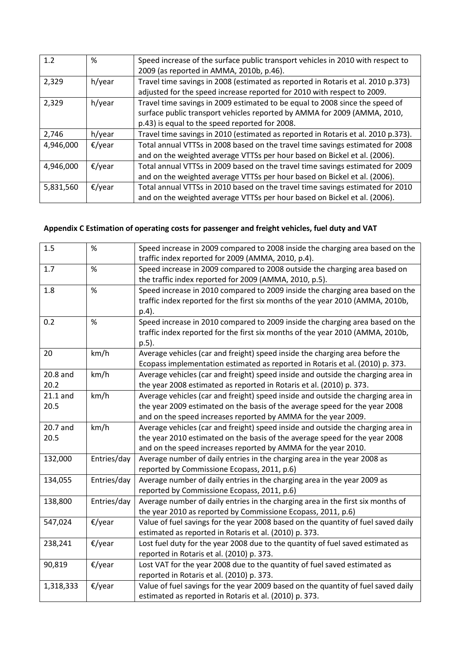| 1.2       | %      | Speed increase of the surface public transport vehicles in 2010 with respect to<br>2009 (as reported in AMMA, 2010b, p.46).                                                                                |
|-----------|--------|------------------------------------------------------------------------------------------------------------------------------------------------------------------------------------------------------------|
| 2,329     | h/year | Travel time savings in 2008 (estimated as reported in Rotaris et al. 2010 p.373)<br>adjusted for the speed increase reported for 2010 with respect to 2009.                                                |
| 2,329     | h/year | Travel time savings in 2009 estimated to be equal to 2008 since the speed of<br>surface public transport vehicles reported by AMMA for 2009 (AMMA, 2010,<br>p.43) is equal to the speed reported for 2008. |
| 2,746     | h/year | Travel time savings in 2010 (estimated as reported in Rotaris et al. 2010 p.373).                                                                                                                          |
| 4,946,000 | €/year | Total annual VTTSs in 2008 based on the travel time savings estimated for 2008<br>and on the weighted average VTTSs per hour based on Bickel et al. (2006).                                                |
| 4,946,000 | €/year | Total annual VTTSs in 2009 based on the travel time savings estimated for 2009<br>and on the weighted average VTTSs per hour based on Bickel et al. (2006).                                                |
| 5,831,560 | €/year | Total annual VTTSs in 2010 based on the travel time savings estimated for 2010<br>and on the weighted average VTTSs per hour based on Bickel et al. (2006).                                                |

## **Appendix C Estimation of operating costs for passenger and freight vehicles, fuel duty and VAT**

| 1.5        | $\%$             | Speed increase in 2009 compared to 2008 inside the charging area based on the<br>traffic index reported for 2009 (AMMA, 2010, p.4). |
|------------|------------------|-------------------------------------------------------------------------------------------------------------------------------------|
| 1.7        | $\%$             | Speed increase in 2009 compared to 2008 outside the charging area based on                                                          |
|            |                  | the traffic index reported for 2009 (AMMA, 2010, p.5).                                                                              |
| 1.8        | $\%$             | Speed increase in 2010 compared to 2009 inside the charging area based on the                                                       |
|            |                  | traffic index reported for the first six months of the year 2010 (AMMA, 2010b,                                                      |
|            |                  | p.4).                                                                                                                               |
| 0.2        | %                | Speed increase in 2010 compared to 2009 inside the charging area based on the                                                       |
|            |                  | traffic index reported for the first six months of the year 2010 (AMMA, 2010b,                                                      |
|            |                  | p.5).                                                                                                                               |
| 20         | km/h             | Average vehicles (car and freight) speed inside the charging area before the                                                        |
|            |                  | Ecopass implementation estimated as reported in Rotaris et al. (2010) p. 373.                                                       |
| $20.8$ and | km/h             | Average vehicles (car and freight) speed inside and outside the charging area in                                                    |
| 20.2       |                  | the year 2008 estimated as reported in Rotaris et al. (2010) p. 373.                                                                |
| $21.1$ and | km/h             | Average vehicles (car and freight) speed inside and outside the charging area in                                                    |
| 20.5       |                  | the year 2009 estimated on the basis of the average speed for the year 2008                                                         |
|            |                  | and on the speed increases reported by AMMA for the year 2009.                                                                      |
| 20.7 and   | km/h             | Average vehicles (car and freight) speed inside and outside the charging area in                                                    |
| 20.5       |                  | the year 2010 estimated on the basis of the average speed for the year 2008                                                         |
|            |                  | and on the speed increases reported by AMMA for the year 2010.                                                                      |
| 132,000    | Entries/day      | Average number of daily entries in the charging area in the year 2008 as                                                            |
|            |                  | reported by Commissione Ecopass, 2011, p.6)                                                                                         |
| 134,055    | Entries/day      | Average number of daily entries in the charging area in the year 2009 as                                                            |
|            |                  | reported by Commissione Ecopass, 2011, p.6)                                                                                         |
| 138,800    | Entries/day      | Average number of daily entries in the charging area in the first six months of                                                     |
|            |                  | the year 2010 as reported by Commissione Ecopass, 2011, p.6)                                                                        |
| 547,024    | €/year           | Value of fuel savings for the year 2008 based on the quantity of fuel saved daily                                                   |
|            |                  | estimated as reported in Rotaris et al. (2010) p. 373.                                                                              |
| 238,241    | $\epsilon$ /year | Lost fuel duty for the year 2008 due to the quantity of fuel saved estimated as                                                     |
|            |                  | reported in Rotaris et al. (2010) p. 373.                                                                                           |
| 90,819     | €/year           | Lost VAT for the year 2008 due to the quantity of fuel saved estimated as                                                           |
|            |                  | reported in Rotaris et al. (2010) p. 373.                                                                                           |
| 1,318,333  | €/year           | Value of fuel savings for the year 2009 based on the quantity of fuel saved daily                                                   |
|            |                  | estimated as reported in Rotaris et al. (2010) p. 373.                                                                              |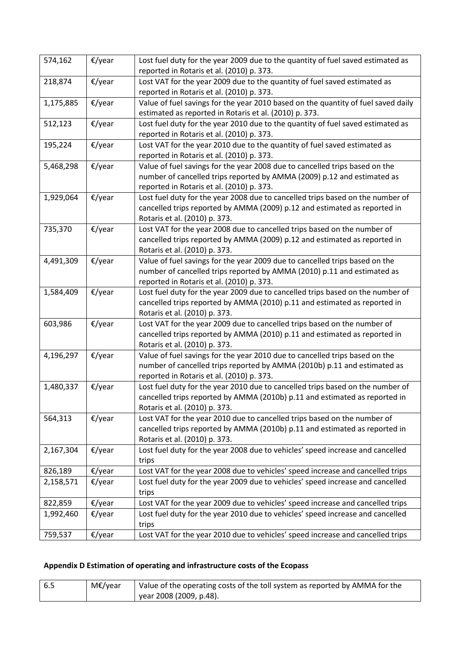| 574,162   | $\epsilon$ /year | Lost fuel duty for the year 2009 due to the quantity of fuel saved estimated as<br>reported in Rotaris et al. (2010) p. 373.                |
|-----------|------------------|---------------------------------------------------------------------------------------------------------------------------------------------|
| 218,874   | €/year           | Lost VAT for the year 2009 due to the quantity of fuel saved estimated as                                                                   |
|           |                  | reported in Rotaris et al. (2010) p. 373.                                                                                                   |
| 1,175,885 | $\epsilon$ /year | Value of fuel savings for the year 2010 based on the quantity of fuel saved daily<br>estimated as reported in Rotaris et al. (2010) p. 373. |
| 512,123   | €/year           | Lost fuel duty for the year 2010 due to the quantity of fuel saved estimated as                                                             |
|           |                  | reported in Rotaris et al. (2010) p. 373.                                                                                                   |
| 195,224   | €/year           | Lost VAT for the year 2010 due to the quantity of fuel saved estimated as                                                                   |
|           |                  | reported in Rotaris et al. (2010) p. 373.                                                                                                   |
| 5,468,298 | €/year           | Value of fuel savings for the year 2008 due to cancelled trips based on the                                                                 |
|           |                  | number of cancelled trips reported by AMMA (2009) p.12 and estimated as                                                                     |
|           |                  | reported in Rotaris et al. (2010) p. 373.                                                                                                   |
| 1,929,064 | €/year           | Lost fuel duty for the year 2008 due to cancelled trips based on the number of                                                              |
|           |                  | cancelled trips reported by AMMA (2009) p.12 and estimated as reported in                                                                   |
|           |                  | Rotaris et al. (2010) p. 373.                                                                                                               |
| 735,370   | $\epsilon$ /year | Lost VAT for the year 2008 due to cancelled trips based on the number of                                                                    |
|           |                  | cancelled trips reported by AMMA (2009) p.12 and estimated as reported in                                                                   |
|           |                  | Rotaris et al. (2010) p. 373.                                                                                                               |
| 4,491,309 | $\epsilon$ /year | Value of fuel savings for the year 2009 due to cancelled trips based on the                                                                 |
|           |                  | number of cancelled trips reported by AMMA (2010) p.11 and estimated as                                                                     |
|           |                  | reported in Rotaris et al. (2010) p. 373.                                                                                                   |
| 1,584,409 | $\epsilon$ /year | Lost fuel duty for the year 2009 due to cancelled trips based on the number of                                                              |
|           |                  | cancelled trips reported by AMMA (2010) p.11 and estimated as reported in                                                                   |
|           |                  | Rotaris et al. (2010) p. 373.                                                                                                               |
| 603,986   | $\epsilon$ /year | Lost VAT for the year 2009 due to cancelled trips based on the number of                                                                    |
|           |                  | cancelled trips reported by AMMA (2010) p.11 and estimated as reported in                                                                   |
|           |                  | Rotaris et al. (2010) p. 373.                                                                                                               |
| 4,196,297 | €/year           | Value of fuel savings for the year 2010 due to cancelled trips based on the                                                                 |
|           |                  | number of cancelled trips reported by AMMA (2010b) p.11 and estimated as                                                                    |
|           |                  | reported in Rotaris et al. (2010) p. 373.                                                                                                   |
| 1,480,337 | $\epsilon$ /year | Lost fuel duty for the year 2010 due to cancelled trips based on the number of                                                              |
|           |                  | cancelled trips reported by AMMA (2010b) p.11 and estimated as reported in                                                                  |
|           |                  | Rotaris et al. (2010) p. 373.                                                                                                               |
| 564,313   | €/year           | Lost VAT for the year 2010 due to cancelled trips based on the number of                                                                    |
|           |                  | cancelled trips reported by AMMA (2010b) p.11 and estimated as reported in                                                                  |
|           |                  | Rotaris et al. (2010) p. 373.                                                                                                               |
| 2,167,304 | €/year           | Lost fuel duty for the year 2008 due to vehicles' speed increase and cancelled                                                              |
|           |                  | trips                                                                                                                                       |
| 826,189   | €/year           | Lost VAT for the year 2008 due to vehicles' speed increase and cancelled trips                                                              |
| 2,158,571 | €/year           | Lost fuel duty for the year 2009 due to vehicles' speed increase and cancelled                                                              |
|           |                  | trips                                                                                                                                       |
| 822,859   | €/year           | Lost VAT for the year 2009 due to vehicles' speed increase and cancelled trips                                                              |
| 1,992,460 | €/year           | Lost fuel duty for the year 2010 due to vehicles' speed increase and cancelled                                                              |
|           |                  | trips                                                                                                                                       |
| 759,537   | $\epsilon$ /year | Lost VAT for the year 2010 due to vehicles' speed increase and cancelled trips                                                              |

# **Appendix D Estimation of operating and infrastructure costs of the Ecopass**

| -6.5 | M€/year | Value of the operating costs of the toll system as reported by AMMA for the |
|------|---------|-----------------------------------------------------------------------------|
|      |         | vear 2008 (2009, p.48).                                                     |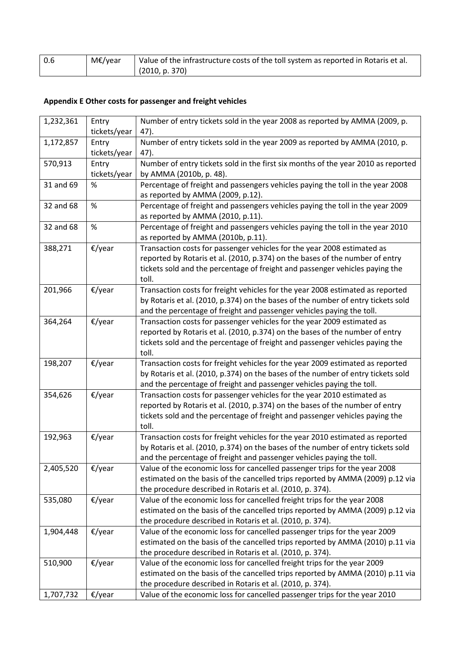| $\vert$ 0.6 | M€/year | Value of the infrastructure costs of the toll system as reported in Rotaris et al. |
|-------------|---------|------------------------------------------------------------------------------------|
|             |         | (2010, p. 370)                                                                     |

## **Appendix E Other costs for passenger and freight vehicles**

| 1,232,361 | Entry<br>tickets/year | Number of entry tickets sold in the year 2008 as reported by AMMA (2009, p.<br>47).                                                                                                                                                              |
|-----------|-----------------------|--------------------------------------------------------------------------------------------------------------------------------------------------------------------------------------------------------------------------------------------------|
| 1,172,857 | Entry                 | Number of entry tickets sold in the year 2009 as reported by AMMA (2010, p.                                                                                                                                                                      |
|           | tickets/year          | 47).                                                                                                                                                                                                                                             |
| 570,913   | Entry                 | Number of entry tickets sold in the first six months of the year 2010 as reported                                                                                                                                                                |
|           | tickets/year          | by AMMA (2010b, p. 48).                                                                                                                                                                                                                          |
| 31 and 69 | %                     | Percentage of freight and passengers vehicles paying the toll in the year 2008<br>as reported by AMMA (2009, p.12).                                                                                                                              |
| 32 and 68 | $\%$                  | Percentage of freight and passengers vehicles paying the toll in the year 2009<br>as reported by AMMA (2010, p.11).                                                                                                                              |
| 32 and 68 | $\%$                  | Percentage of freight and passengers vehicles paying the toll in the year 2010<br>as reported by AMMA (2010b, p.11).                                                                                                                             |
| 388,271   | $\epsilon$ /year      | Transaction costs for passenger vehicles for the year 2008 estimated as<br>reported by Rotaris et al. (2010, p.374) on the bases of the number of entry<br>tickets sold and the percentage of freight and passenger vehicles paying the<br>toll. |
| 201,966   | €/year                | Transaction costs for freight vehicles for the year 2008 estimated as reported<br>by Rotaris et al. (2010, p.374) on the bases of the number of entry tickets sold<br>and the percentage of freight and passenger vehicles paying the toll.      |
| 364,264   | €/year                | Transaction costs for passenger vehicles for the year 2009 estimated as<br>reported by Rotaris et al. (2010, p.374) on the bases of the number of entry<br>tickets sold and the percentage of freight and passenger vehicles paying the<br>toll. |
| 198,207   | €/year                | Transaction costs for freight vehicles for the year 2009 estimated as reported<br>by Rotaris et al. (2010, p.374) on the bases of the number of entry tickets sold<br>and the percentage of freight and passenger vehicles paying the toll.      |
| 354,626   | $\epsilon$ /year      | Transaction costs for passenger vehicles for the year 2010 estimated as<br>reported by Rotaris et al. (2010, p.374) on the bases of the number of entry<br>tickets sold and the percentage of freight and passenger vehicles paying the<br>toll. |
| 192,963   | €/year                | Transaction costs for freight vehicles for the year 2010 estimated as reported<br>by Rotaris et al. (2010, p.374) on the bases of the number of entry tickets sold<br>and the percentage of freight and passenger vehicles paying the toll.      |
| 2,405,520 | €/year                | Value of the economic loss for cancelled passenger trips for the year 2008<br>estimated on the basis of the cancelled trips reported by AMMA (2009) p.12 via<br>the procedure described in Rotaris et al. (2010, p. 374).                        |
| 535,080   | $\epsilon$ /year      | Value of the economic loss for cancelled freight trips for the year 2008<br>estimated on the basis of the cancelled trips reported by AMMA (2009) p.12 via<br>the procedure described in Rotaris et al. (2010, p. 374).                          |
| 1,904,448 | $\epsilon$ /year      | Value of the economic loss for cancelled passenger trips for the year 2009<br>estimated on the basis of the cancelled trips reported by AMMA (2010) p.11 via<br>the procedure described in Rotaris et al. (2010, p. 374).                        |
| 510,900   | €/year                | Value of the economic loss for cancelled freight trips for the year 2009<br>estimated on the basis of the cancelled trips reported by AMMA (2010) p.11 via<br>the procedure described in Rotaris et al. (2010, p. 374).                          |
| 1,707,732 | €/year                | Value of the economic loss for cancelled passenger trips for the year 2010                                                                                                                                                                       |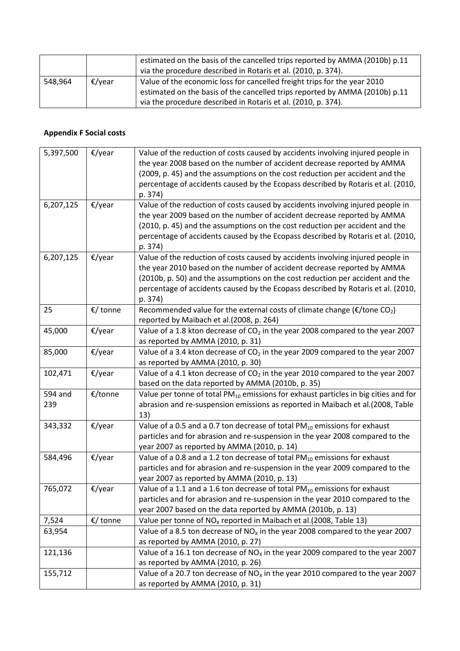|         |                  | estimated on the basis of the cancelled trips reported by AMMA (2010b) p.11<br>via the procedure described in Rotaris et al. (2010, p. 374).            |
|---------|------------------|---------------------------------------------------------------------------------------------------------------------------------------------------------|
| 548,964 | $\epsilon$ /year | Value of the economic loss for cancelled freight trips for the year 2010<br>estimated on the basis of the cancelled trips reported by AMMA (2010b) p.11 |
|         |                  | via the procedure described in Rotaris et al. (2010, p. 374).                                                                                           |

#### **Appendix F Social costs**

| 5,397,500      | $\epsilon$ /year | Value of the reduction of costs caused by accidents involving injured people in<br>the year 2008 based on the number of accident decrease reported by AMMA<br>(2009, p. 45) and the assumptions on the cost reduction per accident and the<br>percentage of accidents caused by the Ecopass described by Rotaris et al. (2010,<br>p. 374)  |
|----------------|------------------|--------------------------------------------------------------------------------------------------------------------------------------------------------------------------------------------------------------------------------------------------------------------------------------------------------------------------------------------|
| 6,207,125      | $\epsilon$ /year | Value of the reduction of costs caused by accidents involving injured people in<br>the year 2009 based on the number of accident decrease reported by AMMA<br>(2010, p. 45) and the assumptions on the cost reduction per accident and the<br>percentage of accidents caused by the Ecopass described by Rotaris et al. (2010,<br>p. 374)  |
| 6,207,125      | €/year           | Value of the reduction of costs caused by accidents involving injured people in<br>the year 2010 based on the number of accident decrease reported by AMMA<br>(2010b, p. 50) and the assumptions on the cost reduction per accident and the<br>percentage of accidents caused by the Ecopass described by Rotaris et al. (2010,<br>p. 374) |
| 25             | €/ tonne         | Recommended value for the external costs of climate change ( $\epsilon$ /tone CO <sub>2</sub> )<br>reported by Maibach et al.(2008, p. 264)                                                                                                                                                                                                |
| 45,000         | €/year           | Value of a 1.8 kton decrease of CO <sub>2</sub> in the year 2008 compared to the year 2007<br>as reported by AMMA (2010, p. 31)                                                                                                                                                                                                            |
| 85,000         | €/year           | Value of a 3.4 kton decrease of CO <sub>2</sub> in the year 2009 compared to the year 2007<br>as reported by AMMA (2010, p. 30)                                                                                                                                                                                                            |
| 102,471        | €/year           | Value of a 4.1 kton decrease of $CO2$ in the year 2010 compared to the year 2007<br>based on the data reported by AMMA (2010b, p. 35)                                                                                                                                                                                                      |
| 594 and<br>239 | €/tonne          | Value per tonne of total PM <sub>10</sub> emissions for exhaust particles in big cities and for<br>abrasion and re-suspension emissions as reported in Maibach et al.(2008, Table<br>13)                                                                                                                                                   |
| 343,332        | €/year           | Value of a 0.5 and a 0.7 ton decrease of total $PM_{10}$ emissions for exhaust<br>particles and for abrasion and re-suspension in the year 2008 compared to the<br>year 2007 as reported by AMMA (2010, p. 14)                                                                                                                             |
| 584,496        | $E$ /year        | Value of a 0.8 and a 1.2 ton decrease of total $PM_{10}$ emissions for exhaust<br>particles and for abrasion and re-suspension in the year 2009 compared to the<br>year 2007 as reported by AMMA (2010, p. 13)                                                                                                                             |
| 765,072        | $\epsilon$ /year | Value of a 1.1 and a 1.6 ton decrease of total $PM_{10}$ emissions for exhaust<br>particles and for abrasion and re-suspension in the year 2010 compared to the<br>year 2007 based on the data reported by AMMA (2010b, p. 13)                                                                                                             |
| 7,524          | €/ tonne         | Value per tonne of NO <sub>x</sub> reported in Maibach et al.(2008, Table 13)                                                                                                                                                                                                                                                              |
| 63,954         |                  | Value of a 8.5 ton decrease of $NOx$ in the year 2008 compared to the year 2007<br>as reported by AMMA (2010, p. 27)                                                                                                                                                                                                                       |
| 121,136        |                  | Value of a 16.1 ton decrease of $NOx$ in the year 2009 compared to the year 2007<br>as reported by AMMA (2010, p. 26)                                                                                                                                                                                                                      |
| 155,712        |                  | Value of a 20.7 ton decrease of $NOx$ in the year 2010 compared to the year 2007<br>as reported by AMMA (2010, p. 31)                                                                                                                                                                                                                      |